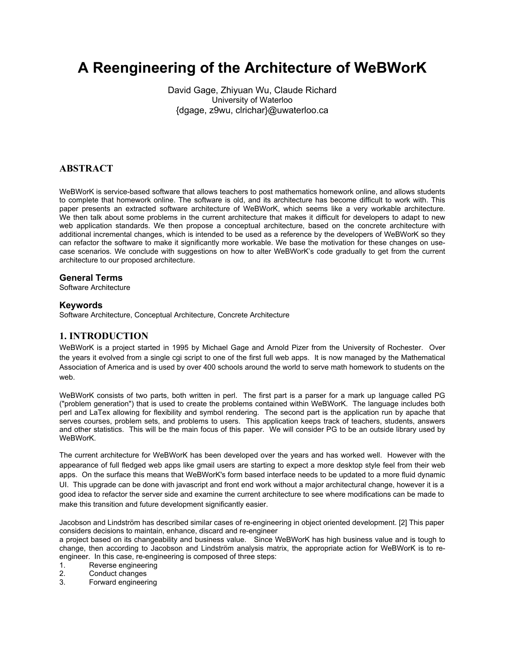# **A Reengineering of the Architecture of WeBWorK**

David Gage, Zhiyuan Wu, Claude Richard University of Waterloo {dgage, z9wu, clrichar}@uwaterloo.ca

# **ABSTRACT**

WeBWorK is service-based software that allows teachers to post mathematics homework online, and allows students to complete that homework online. The software is old, and its architecture has become difficult to work with. This paper presents an extracted software architecture of WeBWorK, which seems like a very workable architecture. We then talk about some problems in the current architecture that makes it difficult for developers to adapt to new web application standards. We then propose a conceptual architecture, based on the concrete architecture with additional incremental changes, which is intended to be used as a reference by the developers of WeBWorK so they can refactor the software to make it significantly more workable. We base the motivation for these changes on usecase scenarios. We conclude with suggestions on how to alter WeBWorK's code gradually to get from the current architecture to our proposed architecture.

## **General Terms**

Software Architecture

## **Keywords**

Software Architecture, Conceptual Architecture, Concrete Architecture

# **1. INTRODUCTION**

WeBWorK is a project started in 1995 by Michael Gage and Arnold Pizer from the University of Rochester. Over the years it evolved from a single cgi script to one of the first full web apps. It is now managed by the Mathematical Association of America and is used by over 400 schools around the world to serve math homework to students on the web.

WeBWorK consists of two parts, both written in perl. The first part is a parser for a mark up language called PG ("problem generation") that is used to create the problems contained within WeBWorK. The language includes both perl and LaTex allowing for flexibility and symbol rendering. The second part is the application run by apache that serves courses, problem sets, and problems to users. This application keeps track of teachers, students, answers and other statistics. This will be the main focus of this paper. We will consider PG to be an outside library used by WeBWorK.

The current architecture for WeBWorK has been developed over the years and has worked well. However with the appearance of full fledged web apps like gmail users are starting to expect a more desktop style feel from their web apps. On the surface this means that WeBWorK's form based interface needs to be updated to a more fluid dynamic UI. This upgrade can be done with javascript and front end work without a major architectural change, however it is a good idea to refactor the server side and examine the current architecture to see where modifications can be made to make this transition and future development significantly easier.

Jacobson and Lindström has described similar cases of re-engineering in object oriented development. [2] This paper considers decisions to maintain, enhance, discard and re-engineer

a project based on its changeability and business value. Since WeBWorK has high business value and is tough to change, then according to Jacobson and Lindström analysis matrix, the appropriate action for WeBWorK is to reengineer. In this case, re-engineering is composed of three steps:

1. Reverse engineering

2. Conduct changes

3. Forward engineering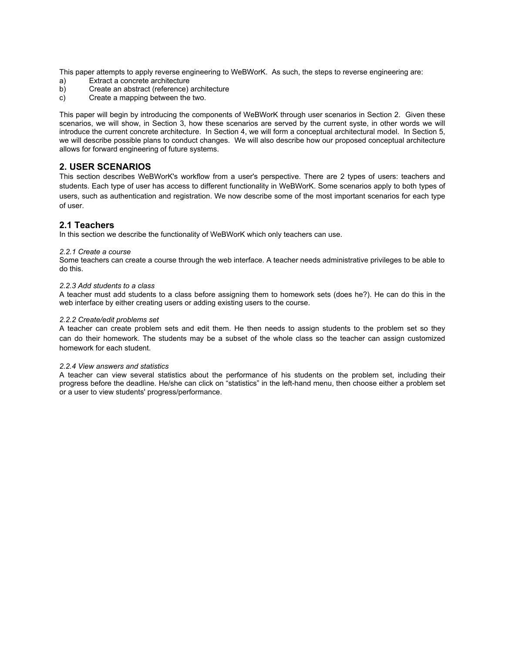This paper attempts to apply reverse engineering to WeBWorK. As such, the steps to reverse engineering are:

- a) Extract a concrete architecture
- b) Create an abstract (reference) architecture
- c) Create a mapping between the two.

This paper will begin by introducing the components of WeBWorK through user scenarios in Section 2. Given these scenarios, we will show, in Section 3, how these scenarios are served by the current syste, in other words we will introduce the current concrete architecture. In Section 4, we will form a conceptual architectural model. In Section 5, we will describe possible plans to conduct changes. We will also describe how our proposed conceptual architecture allows for forward engineering of future systems.

## **2. USER SCENARIOS**

This section describes WeBWorK's workflow from a user's perspective. There are 2 types of users: teachers and students. Each type of user has access to different functionality in WeBWorK. Some scenarios apply to both types of users, such as authentication and registration. We now describe some of the most important scenarios for each type of user.

## **2.1 Teachers**

In this section we describe the functionality of WeBWorK which only teachers can use.

#### *2.2.1 Create a course*

Some teachers can create a course through the web interface. A teacher needs administrative privileges to be able to do this.

#### *2.2.3 Add students to a class*

A teacher must add students to a class before assigning them to homework sets (does he?). He can do this in the web interface by either creating users or adding existing users to the course.

#### *2.2.2 Create/edit problems set*

A teacher can create problem sets and edit them. He then needs to assign students to the problem set so they can do their homework. The students may be a subset of the whole class so the teacher can assign customized homework for each student.

#### *2.2.4 View answers and statistics*

A teacher can view several statistics about the performance of his students on the problem set, including their progress before the deadline. He/she can click on "statistics" in the left-hand menu, then choose either a problem set or a user to view students' progress/performance.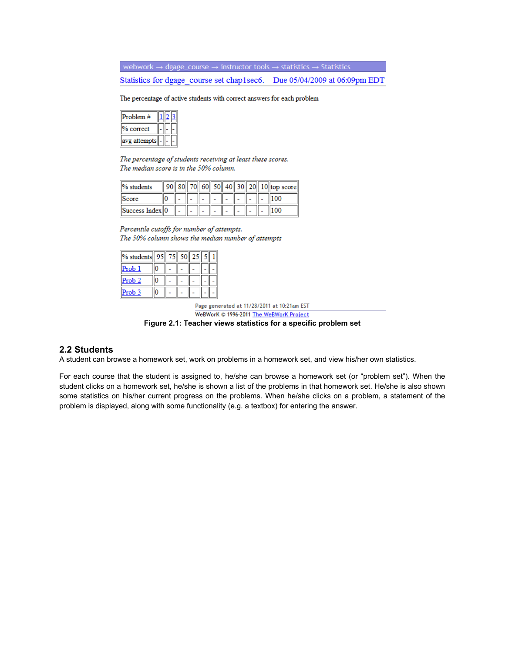webwork  $\rightarrow$  dgage\_course  $\rightarrow$  instructor tools  $\rightarrow$  statistics  $\rightarrow$  Statistics

Statistics for dgage course set chap1sec6. Due 05/04/2009 at 06:09pm EDT

The percentage of active students with correct answers for each problem

| 'roblem #  |  |  |
|------------|--|--|
| correct    |  |  |
| g attempts |  |  |

The percentage of students receiving at least these scores. The median score is in the 50% column.

| $\%$ students    |  |  |  |  | 90 80 70 60 50 40 30 20 10 top score |
|------------------|--|--|--|--|--------------------------------------|
| Score            |  |  |  |  |                                      |
| Success Index  0 |  |  |  |  |                                      |

Percentile cutoffs for number of attempts. The 50% column shows the median number of attempts

| % students 95 | 751 | 50 | 25 |  |
|---------------|-----|----|----|--|
| <u>Prob 1</u> |     |    |    |  |
| Prob 2        |     |    |    |  |
| Prob 3        |     |    |    |  |

Page generated at 11/28/2011 at 10:21am EST WeBWorK © 1996-2011 The WeBWorK Project

**Figure 2.1: Teacher views statistics for a specific problem set**

## **2.2 Students**

A student can browse a homework set, work on problems in a homework set, and view his/her own statistics.

For each course that the student is assigned to, he/she can browse a homework set (or "problem set"). When the student clicks on a homework set, he/she is shown a list of the problems in that homework set. He/she is also shown some statistics on his/her current progress on the problems. When he/she clicks on a problem, a statement of the problem is displayed, along with some functionality (e.g. a textbox) for entering the answer.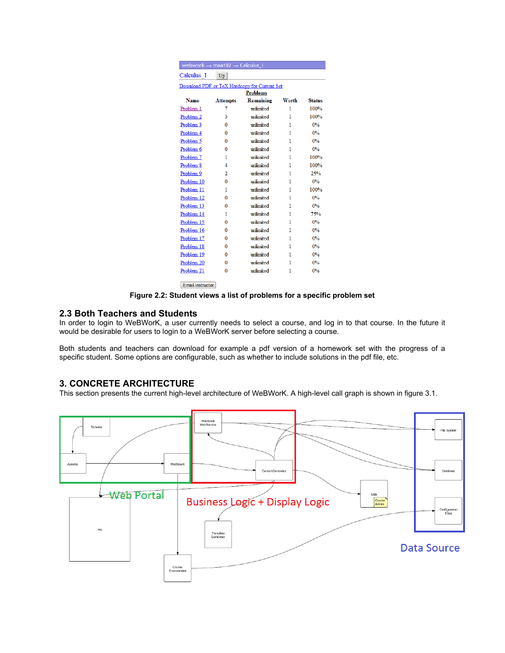|                 | webwork $\rightarrow$ maa102 $\rightarrow$ Calculus_I |                                              |       |               |  |  |  |  |
|-----------------|-------------------------------------------------------|----------------------------------------------|-------|---------------|--|--|--|--|
| Calculus I      | Up                                                    |                                              |       |               |  |  |  |  |
|                 |                                                       | Download PDF or TeX Hardcopy for Current Set |       |               |  |  |  |  |
| <b>Problems</b> |                                                       |                                              |       |               |  |  |  |  |
| <b>Name</b>     | <b>Attempts</b>                                       | Remaining                                    | Worth | <b>Status</b> |  |  |  |  |
| Problem 1       | 7                                                     | unlimited                                    | 1     | 100%          |  |  |  |  |
| Problem 2       | 3                                                     | mlimited                                     | 1     | 100%          |  |  |  |  |
| Problem 3       | $\mathbf{0}$                                          | unlimited                                    | 1     | 0%            |  |  |  |  |
| Problem 4       | 0                                                     | unlimited                                    | 1     | 0%            |  |  |  |  |
| Problem 5       | 0                                                     | unlimited                                    | 1     | 0%            |  |  |  |  |
| Problem 6       | 0                                                     | unlimited                                    | 1     | 0%            |  |  |  |  |
| Problem 7       | 1                                                     | unlimited                                    | 1     | 100%          |  |  |  |  |
| Problem 8       | 4                                                     | mlimited                                     | 1     | 100%          |  |  |  |  |
| Problem 9       | 2                                                     | unlimited                                    | 1     | 25%           |  |  |  |  |
| Problem 10      | 0                                                     | unlimited                                    | 1     | 0%            |  |  |  |  |
| Problem 11      | 1                                                     | unlimited                                    | 1     | 100%          |  |  |  |  |
| Problem 12      | 0                                                     | unlimited                                    | 1     | 0%            |  |  |  |  |
| Problem 13      | 0                                                     | unlimited                                    | 1     | 0%            |  |  |  |  |
| Problem 14      | 1                                                     | unlimited                                    | 1     | 75%           |  |  |  |  |
| Problem 15      | 0                                                     | unlimited                                    | 1     | 0%            |  |  |  |  |
| Problem 16      | 0                                                     | unlimited                                    | 1     | 0%            |  |  |  |  |
| Problem 17      | 0                                                     | mlimited                                     | 1     | 0%            |  |  |  |  |
| Problem 18      | 0                                                     | unlimited                                    | 1     | 0%            |  |  |  |  |
| Problem 19      | 0                                                     | unlimited                                    | 1     | 0%            |  |  |  |  |
| Problem 20      | o                                                     | unlimited                                    | 1     | 0%            |  |  |  |  |
| Problem 21      | 0                                                     | unlimited                                    | 1     | 0%            |  |  |  |  |

Email instructor

**Figure 2.2: Student views a list of problems for a specific problem set**

## **2.3 Both Teachers and Students**

In order to login to WeBWorK, a user currently needs to select a course, and log in to that course. In the future it would be desirable for users to login to a WeBWorK server before selecting a course.

Both students and teachers can download for example a pdf version of a homework set with the progress of a specific student. Some options are configurable, such as whether to include solutions in the pdf file, etc.

## **3. CONCRETE ARCHITECTURE**

This section presents the current high-level architecture of WeBWorK. A high-level call graph is shown in figure 3.1.

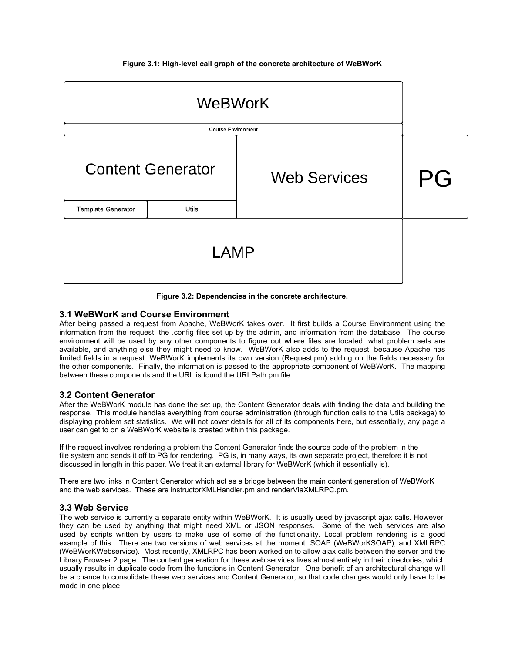**Figure 3.1: High-level call graph of the concrete architecture of WeBWorK**

| <b>Content Generator</b> |       | <b>Web Services</b> | PG |
|--------------------------|-------|---------------------|----|
| Template Generator       | Utils |                     |    |
|                          |       |                     |    |

**Figure 3.2: Dependencies in the concrete architecture.**

## **3.1 WeBWorK and Course Environment**

After being passed a request from Apache, WeBWorK takes over. It first builds a Course Environment using the information from the request, the .config files set up by the admin, and information from the database. The course environment will be used by any other components to figure out where files are located, what problem sets are available, and anything else they might need to know. WeBWorK also adds to the request, because Apache has limited fields in a request. WeBWorK implements its own version (Request.pm) adding on the fields necessary for the other components. Finally, the information is passed to the appropriate component of WeBWorK. The mapping between these components and the URL is found the URLPath.pm file.

## **3.2 Content Generator**

After the WeBWorK module has done the set up, the Content Generator deals with finding the data and building the response. This module handles everything from course administration (through function calls to the Utils package) to displaying problem set statistics. We will not cover details for all of its components here, but essentially, any page a user can get to on a WeBWorK website is created within this package.

If the request involves rendering a problem the Content Generator finds the source code of the problem in the file system and sends it off to PG for rendering. PG is, in many ways, its own separate project, therefore it is not discussed in length in this paper. We treat it an external library for WeBWorK (which it essentially is).

There are two links in Content Generator which act as a bridge between the main content generation of WeBWorK and the web services. These are instructorXMLHandler.pm and renderViaXMLRPC.pm.

## **3.3 Web Service**

The web service is currently a separate entity within WeBWorK. It is usually used by javascript ajax calls. However, they can be used by anything that might need XML or JSON responses. Some of the web services are also used by scripts written by users to make use of some of the functionality. Local problem rendering is a good example of this. There are two versions of web services at the moment: SOAP (WeBWorKSOAP), and XMLRPC (WeBWorKWebservice). Most recently, XMLRPC has been worked on to allow ajax calls between the server and the Library Browser 2 page. The content generation for these web services lives almost entirely in their directories, which usually results in duplicate code from the functions in Content Generator. One benefit of an architectural change will be a chance to consolidate these web services and Content Generator, so that code changes would only have to be made in one place.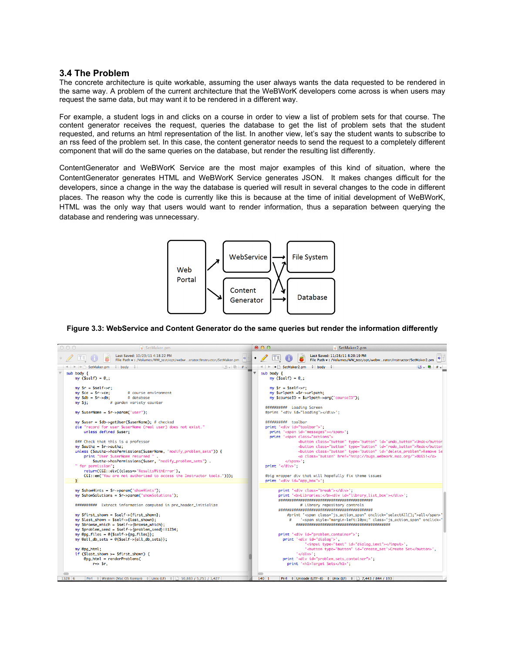## **3.4 The Problem**

The concrete architecture is quite workable, assuming the user always wants the data requested to be rendered in the same way. A problem of the current architecture that the WeBWorK developers come across is when users may request the same data, but may want it to be rendered in a different way.

For example, a student logs in and clicks on a course in order to view a list of problem sets for that course. The content generator receives the request, queries the database to get the list of problem sets that the student requested, and returns an html representation of the list. In another view, let's say the student wants to subscribe to an rss feed of the problem set. In this case, the content generator needs to send the request to a completely different component that will do the same queries on the database, but render the resulting list differently.

ContentGenerator and WeBWorK Service are the most major examples of this kind of situation, where the ContentGenerator generates HTML and WeBWorK Service generates JSON. It makes changes difficult for the developers, since a change in the way the database is queried will result in several changes to the code in different places. The reason why the code is currently like this is because at the time of initial development of WeBWorK, HTML was the only way that users would want to render information, thus a separation between querying the database and rendering was unnecessary.



**Figure 3.3: WebService and Content Generator do the same queries but render the information differently**

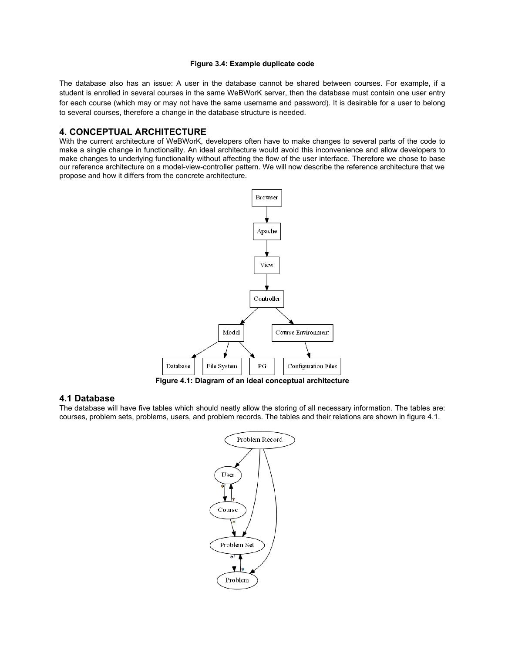#### **Figure 3.4: Example duplicate code**

The database also has an issue: A user in the database cannot be shared between courses. For example, if a student is enrolled in several courses in the same WeBWorK server, then the database must contain one user entry for each course (which may or may not have the same username and password). It is desirable for a user to belong to several courses, therefore a change in the database structure is needed.

## **4. CONCEPTUAL ARCHITECTURE**

With the current architecture of WeBWorK, developers often have to make changes to several parts of the code to make a single change in functionality. An ideal architecture would avoid this inconvenience and allow developers to make changes to underlying functionality without affecting the flow of the user interface. Therefore we chose to base our reference architecture on a model-view-controller pattern. We will now describe the reference architecture that we propose and how it differs from the concrete architecture.



**Figure 4.1: Diagram of an ideal conceptual architecture**

## **4.1 Database**

The database will have five tables which should neatly allow the storing of all necessary information. The tables are: courses, problem sets, problems, users, and problem records. The tables and their relations are shown in figure 4.1.

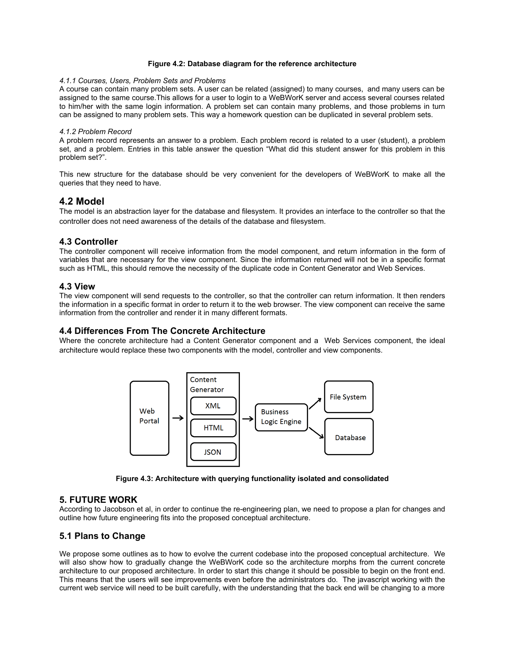#### **Figure 4.2: Database diagram for the reference architecture**

#### *4.1.1 Courses, Users, Problem Sets and Problems*

A course can contain many problem sets. A user can be related (assigned) to many courses, and many users can be assigned to the same course.This allows for a user to login to a WeBWorK server and access several courses related to him/her with the same login information. A problem set can contain many problems, and those problems in turn can be assigned to many problem sets. This way a homework question can be duplicated in several problem sets.

#### *4.1.2 Problem Record*

A problem record represents an answer to a problem. Each problem record is related to a user (student), a problem set, and a problem. Entries in this table answer the question "What did this student answer for this problem in this problem set?".

This new structure for the database should be very convenient for the developers of WeBWorK to make all the queries that they need to have.

## **4.2 Model**

The model is an abstraction layer for the database and filesystem. It provides an interface to the controller so that the controller does not need awareness of the details of the database and filesystem.

### **4.3 Controller**

The controller component will receive information from the model component, and return information in the form of variables that are necessary for the view component. Since the information returned will not be in a specific format such as HTML, this should remove the necessity of the duplicate code in Content Generator and Web Services.

## **4.3 View**

The view component will send requests to the controller, so that the controller can return information. It then renders the information in a specific format in order to return it to the web browser. The view component can receive the same information from the controller and render it in many different formats.

## **4.4 Differences From The Concrete Architecture**

Where the concrete architecture had a Content Generator component and a Web Services component, the ideal architecture would replace these two components with the model, controller and view components.



**Figure 4.3: Architecture with querying functionality isolated and consolidated**

#### **5. FUTURE WORK**

According to Jacobson et al, in order to continue the re-engineering plan, we need to propose a plan for changes and outline how future engineering fits into the proposed conceptual architecture.

## **5.1 Plans to Change**

We propose some outlines as to how to evolve the current codebase into the proposed conceptual architecture. We will also show how to gradually change the WeBWorK code so the architecture morphs from the current concrete architecture to our proposed architecture. In order to start this change it should be possible to begin on the front end. This means that the users will see improvements even before the administrators do. The javascript working with the current web service will need to be built carefully, with the understanding that the back end will be changing to a more